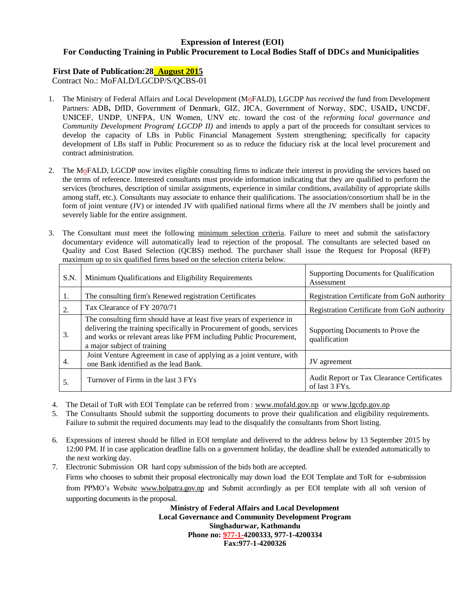#### **Expression of Interest (EOI) For Conducting Training in Public Procurement to Local Bodies Staff of DDCs and Municipalities**

#### **First Date of Publication:28 August 2015**

Contract No.: MoFALD/LGCDP/S/QCBS-01

- 1. The Ministry of Federal Affairs and Local Development (MoFALD), LGCDP *has received* the fund from Development Partners: ADB**,** DfID, Government of Denmark, GIZ, JICA, Government of Norway, SDC, USAID**,** UNCDF, UNICEF, UNDP, UNFPA, UN Women, UNV etc. toward the cost of the *reforming local governance and Community Development Program( LGCDP II)* and intends to apply a part of the proceeds for consultant services to develop the capacity of LBs in Public Financial Management System strengthening; specifically for capacity development of LBs staff in Public Procurement so as to reduce the fiduciary risk at the local level procurement and contract administration.
- 2. The MoFALD, LGCDP now invites eligible consulting firms to indicate their interest in providing the services based on the terms of reference. Interested consultants must provide information indicating that they are qualified to perform the services (brochures, description of similar assignments, experience in similar conditions, availability of appropriate skills among staff, etc.). Consultants may associate to enhance their qualifications. The association/consortium shall be in the form of joint venture (JV) or intended JV with qualified national firms where all the JV members shall be jointly and severely liable for the entire assignment.
- 3. The Consultant must meet the following minimum selection criteria. Failure to meet and submit the satisfactory documentary evidence will automatically lead to rejection of the proposal. The consultants are selected based on Quality and Cost Based Selection (QCBS) method. The purchaser shall issue the Request for Proposal (RFP) maximum up to six qualified firms based on the selection criteria below.

| S.N. | Minimum Qualifications and Eligibility Requirements                                                                                                                                                                                                 | Supporting Documents for Qualification<br>Assessment         |
|------|-----------------------------------------------------------------------------------------------------------------------------------------------------------------------------------------------------------------------------------------------------|--------------------------------------------------------------|
| 1.   | The consulting firm's Renewed registration Certificates                                                                                                                                                                                             | Registration Certificate from GoN authority                  |
| 2.   | Tax Clearance of FY 2070/71                                                                                                                                                                                                                         | Registration Certificate from GoN authority                  |
| 3.   | The consulting firm should have at least five years of experience in<br>delivering the training specifically in Procurement of goods, services<br>and works or relevant areas like PFM including Public Procurement,<br>a major subject of training | Supporting Documents to Prove the<br>qualification           |
| 4.   | Joint Venture Agreement in case of applying as a joint venture, with<br>one Bank identified as the lead Bank.                                                                                                                                       | JV agreement                                                 |
| 5.   | Turnover of Firms in the last 3 FYs                                                                                                                                                                                                                 | Audit Report or Tax Clearance Certificates<br>of last 3 FYs. |

- 4. The Detail of ToR with EOI Template can be referred from : [www.mofald.gov.np](http://www.mofald.gov.np/) or [www.lgcdp.gov.np](http://www.lgcdp.gov.np/)
- 5. The Consultants Should submit the supporting documents to prove their qualification and eligibility requirements. Failure to submit the required documents may lead to the disqualify the consultants from Short listing.
- 6. Expressions of interest should be filled in EOI template and delivered to the address below by 13 September 2015 by 12:00 PM. If in case application deadline falls on a government holiday, the deadline shall be extended automatically to the next working day.
- 7. Electronic Submission OR hard copy submission of the bids both are accepted. Firms who chooses to submit their proposal electronically may down load the EOI Template and ToR for e-submission from PPMO's Website [www.bolpatra.gov.np](http://www.bolpatra.gov.np/) and Submit accordingly as per EOI template with all soft version of supporting documents in the proposal.

**Ministry of Federal Affairs and Local Development Local Governance and Community Development Program Singhadurwar, Kathmandu Phone no: 977-1-4200333, 977-1-4200334 Fax:977-1-4200326**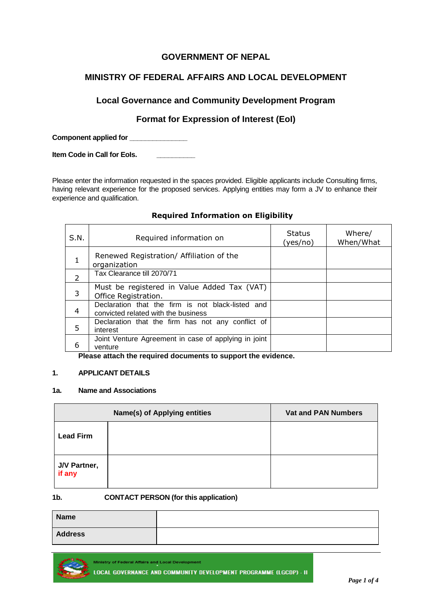## **GOVERNMENT OF NEPAL**

## **MINISTRY OF FEDERAL AFFAIRS AND LOCAL DEVELOPMENT**

## **Local Governance and Community Development Program**

## **Format for Expression of Interest (EoI)**

**Component applied for \_\_\_\_\_\_\_\_\_\_\_\_\_\_\_**

**Item Code in Call for EoIs. \_\_\_\_\_\_\_\_\_\_**

Please enter the information requested in the spaces provided. Eligible applicants include Consulting firms, having relevant experience for the proposed services. Applying entities may form a JV to enhance their experience and qualification.

#### **Required Information on Eligibility**

| S.N.         | Required information on                                                                  | <b>Status</b><br>(yes/no) | Where/<br>When/What |
|--------------|------------------------------------------------------------------------------------------|---------------------------|---------------------|
| $\mathbf{1}$ | Renewed Registration/ Affiliation of the<br>organization                                 |                           |                     |
| 2            | Tax Clearance till 2070/71                                                               |                           |                     |
| 3            | Must be registered in Value Added Tax (VAT)<br>Office Registration.                      |                           |                     |
| 4            | Declaration that the firm is not black-listed and<br>convicted related with the business |                           |                     |
| 5            | Declaration that the firm has not any conflict of<br>interest                            |                           |                     |
| 6            | Joint Venture Agreement in case of applying in joint<br>venture                          |                           |                     |

**Please attach the required documents to support the evidence.**

#### **1. APPLICANT DETAILS**

#### **1a. Name and Associations**

|                        | Name(s) of Applying entities | <b>Vat and PAN Numbers</b> |
|------------------------|------------------------------|----------------------------|
| <b>Lead Firm</b>       |                              |                            |
| J/V Partner,<br>if any |                              |                            |

#### **1b. CONTACT PERSON (for this application)**

| <b>Name</b>    |  |
|----------------|--|
| <b>Address</b> |  |



**Ministry of Federal Affairs and Local Development LOCAL GOVERNANCE AND COMMUNITY DEVELOPMENT PROGRAMME (LGCDP) - II**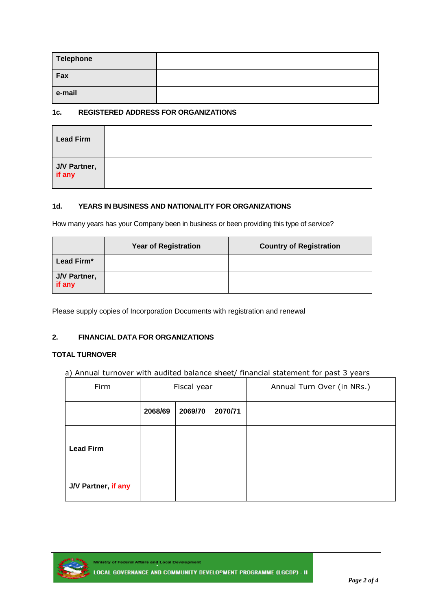| Telephone |  |
|-----------|--|
| Fax       |  |
| e-mail    |  |

#### **1c. REGISTERED ADDRESS FOR ORGANIZATIONS**

| <b>Lead Firm</b>              |  |
|-------------------------------|--|
| J/V Partner,<br><b>if any</b> |  |

#### **1d. YEARS IN BUSINESS AND NATIONALITY FOR ORGANIZATIONS**

How many years has your Company been in business or been providing this type of service?

|                        | <b>Year of Registration</b> | <b>Country of Registration</b> |
|------------------------|-----------------------------|--------------------------------|
| Lead Firm*             |                             |                                |
| J/V Partner,<br>if any |                             |                                |

Please supply copies of Incorporation Documents with registration and renewal

### **2. FINANCIAL DATA FOR ORGANIZATIONS**

#### **TOTAL TURNOVER**

a) Annual turnover with audited balance sheet/ financial statement for past 3 years

| Firm                | Fiscal year |         |         | Annual Turn Over (in NRs.) |
|---------------------|-------------|---------|---------|----------------------------|
|                     | 2068/69     | 2069/70 | 2070/71 |                            |
| <b>Lead Firm</b>    |             |         |         |                            |
| J/V Partner, if any |             |         |         |                            |



Ministry of Federal Affairs and Local Development LOCAL GOVERNANCE AND COMMUNITY DEVELOPMENT PROGRAMME (LGCDP) - II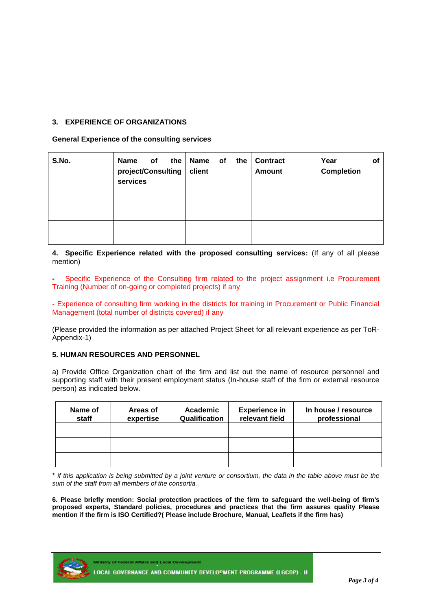#### **3. EXPERIENCE OF ORGANIZATIONS**

**General Experience of the consulting services**

| S.No. | of<br><b>Name</b><br>project/Consulting<br>services | the   Name<br>of<br>the<br>client | <b>Contract</b><br><b>Amount</b> | Year<br>οf<br><b>Completion</b> |
|-------|-----------------------------------------------------|-----------------------------------|----------------------------------|---------------------------------|
|       |                                                     |                                   |                                  |                                 |
|       |                                                     |                                   |                                  |                                 |

**4. Specific Experience related with the proposed consulting services:** (If any of all please mention)

**-** Specific Experience of the Consulting firm related to the project assignment i.e Procurement Training (Number of on-going or completed projects) if any

- Experience of consulting firm working in the districts for training in Procurement or Public Financial Management (total number of districts covered) if any

(Please provided the information as per attached Project Sheet for all relevant experience as per ToR-Appendix-1)

#### **5. HUMAN RESOURCES AND PERSONNEL**

a) Provide Office Organization chart of the firm and list out the name of resource personnel and supporting staff with their present employment status (In-house staff of the firm or external resource person) as indicated below.

| Name of<br>staff | Areas of<br>expertise | Academic<br>Qualification | <b>Experience in</b><br>relevant field | In house / resource<br>professional |
|------------------|-----------------------|---------------------------|----------------------------------------|-------------------------------------|
|                  |                       |                           |                                        |                                     |
|                  |                       |                           |                                        |                                     |
|                  |                       |                           |                                        |                                     |

\* *if this application is being submitted by a joint venture or consortium, the data in the table above must be the sum of the staff from all members of the consortia..* 

**6. Please briefly mention: Social protection practices of the firm to safeguard the well-being of firm's proposed experts, Standard policies, procedures and practices that the firm assures quality Please mention if the firm is ISO Certified?( Please include Brochure, Manual, Leaflets if the firm has)**

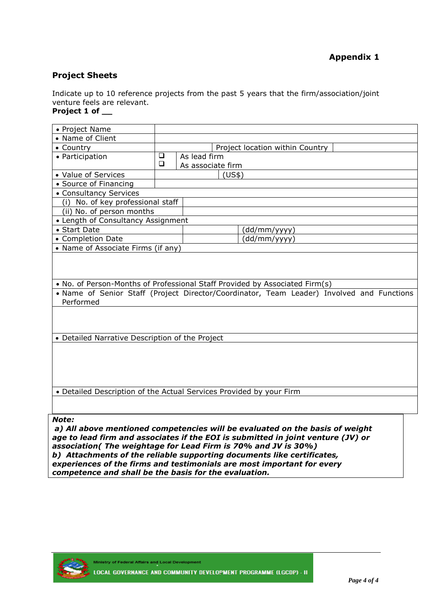### **Project Sheets**

Indicate up to 10 reference projects from the past 5 years that the firm/association/joint venture feels are relevant.

## **Project 1 of \_\_**

| • Project Name                                  |        |                                                                                                                                                                          |
|-------------------------------------------------|--------|--------------------------------------------------------------------------------------------------------------------------------------------------------------------------|
| • Name of Client                                |        |                                                                                                                                                                          |
| • Country                                       |        | Project location within Country                                                                                                                                          |
| • Participation                                 | ❏      | As lead firm                                                                                                                                                             |
|                                                 | $\Box$ | As associate firm                                                                                                                                                        |
| • Value of Services                             |        | (US\$)                                                                                                                                                                   |
| • Source of Financing                           |        |                                                                                                                                                                          |
| • Consultancy Services                          |        |                                                                                                                                                                          |
| (i) No. of key professional staff               |        |                                                                                                                                                                          |
| (ii) No. of person months                       |        |                                                                                                                                                                          |
| • Length of Consultancy Assignment              |        |                                                                                                                                                                          |
| • Start Date                                    |        | (dd/mm/yyyy)                                                                                                                                                             |
| • Completion Date                               |        | (dd/mm/yyyy)                                                                                                                                                             |
| • Name of Associate Firms (if any)              |        |                                                                                                                                                                          |
| Performed                                       |        | . No. of Person-Months of Professional Staff Provided by Associated Firm(s)<br>• Name of Senior Staff (Project Director/Coordinator, Team Leader) Involved and Functions |
| • Detailed Narrative Description of the Project |        |                                                                                                                                                                          |
|                                                 |        |                                                                                                                                                                          |
|                                                 |        | • Detailed Description of the Actual Services Provided by your Firm                                                                                                      |
| Note:                                           |        | a) All above mentioned competencies will be evaluated on the basis of weight                                                                                             |

*age to lead firm and associates if the EOI is submitted in joint venture (JV) or association( The weightage for Lead Firm is 70% and JV is 30%) b) Attachments of the reliable supporting documents like certificates, experiences of the firms and testimonials are most important for every competence and shall be the basis for the evaluation.*



Ministry of Federal Affairs and Local Development LOCAL GOVERNANCE AND COMMUNITY DEVELOPMENT PROGRAMME (LGCDP) - II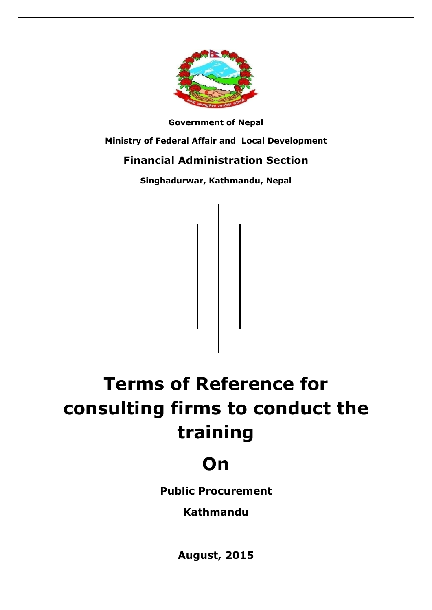

**Government of Nepal**

**Ministry of Federal Affair and Local Development**

# **Financial Administration Section**

**Singhadurwar, Kathmandu, Nepal**

# **Terms of Reference for consulting firms to conduct the training**

# **On**

**Public Procurement**

**Kathmandu**

**August, 2015**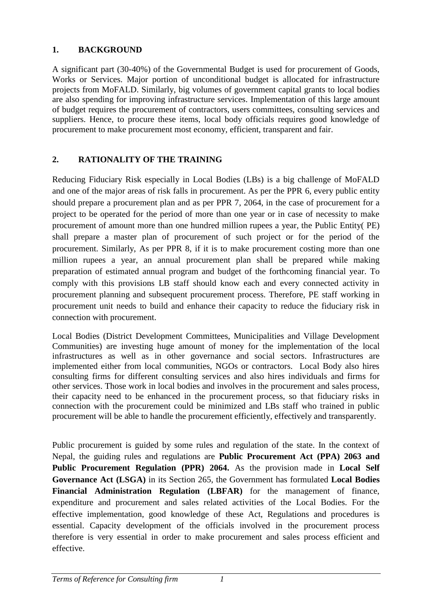## **1. BACKGROUND**

A significant part (30-40%) of the Governmental Budget is used for procurement of Goods, Works or Services. Major portion of unconditional budget is allocated for infrastructure projects from MoFALD. Similarly, big volumes of government capital grants to local bodies are also spending for improving infrastructure services. Implementation of this large amount of budget requires the procurement of contractors, users committees, consulting services and suppliers. Hence, to procure these items, local body officials requires good knowledge of procurement to make procurement most economy, efficient, transparent and fair.

## **2. RATIONALITY OF THE TRAINING**

Reducing Fiduciary Risk especially in Local Bodies (LBs) is a big challenge of MoFALD and one of the major areas of risk falls in procurement. As per the PPR 6, every public entity should prepare a procurement plan and as per PPR 7, 2064, in the case of procurement for a project to be operated for the period of more than one year or in case of necessity to make procurement of amount more than one hundred million rupees a year, the Public Entity( PE) shall prepare a master plan of procurement of such project or for the period of the procurement. Similarly, As per PPR 8, if it is to make procurement costing more than one million rupees a year, an annual procurement plan shall be prepared while making preparation of estimated annual program and budget of the forthcoming financial year. To comply with this provisions LB staff should know each and every connected activity in procurement planning and subsequent procurement process. Therefore, PE staff working in procurement unit needs to build and enhance their capacity to reduce the fiduciary risk in connection with procurement.

Local Bodies (District Development Committees, Municipalities and Village Development Communities) are investing huge amount of money for the implementation of the local infrastructures as well as in other governance and social sectors. Infrastructures are implemented either from local communities, NGOs or contractors. Local Body also hires consulting firms for different consulting services and also hires individuals and firms for other services. Those work in local bodies and involves in the procurement and sales process, their capacity need to be enhanced in the procurement process, so that fiduciary risks in connection with the procurement could be minimized and LBs staff who trained in public procurement will be able to handle the procurement efficiently, effectively and transparently.

Public procurement is guided by some rules and regulation of the state. In the context of Nepal, the guiding rules and regulations are **Public Procurement Act (PPA) 2063 and Public Procurement Regulation (PPR) 2064.** As the provision made in **Local Self Governance Act (LSGA)** in its Section 265, the Government has formulated **Local Bodies Financial Administration Regulation (LBFAR)** for the management of finance, expenditure and procurement and sales related activities of the Local Bodies. For the effective implementation, good knowledge of these Act, Regulations and procedures is essential. Capacity development of the officials involved in the procurement process therefore is very essential in order to make procurement and sales process efficient and effective.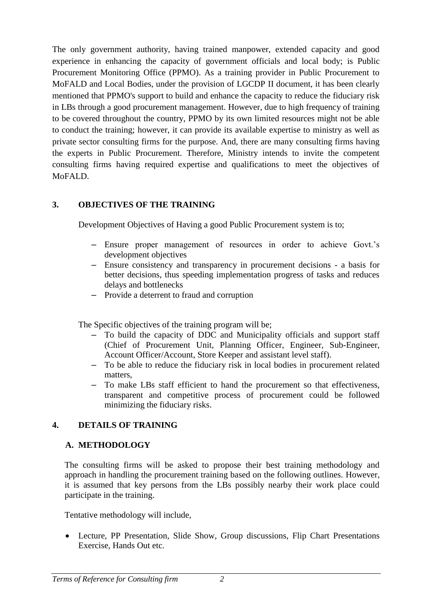The only government authority, having trained manpower, extended capacity and good experience in enhancing the capacity of government officials and local body; is Public Procurement Monitoring Office (PPMO). As a training provider in Public Procurement to MoFALD and Local Bodies, under the provision of LGCDP II document, it has been clearly mentioned that PPMO's support to build and enhance the capacity to reduce the fiduciary risk in LBs through a good procurement management. However, due to high frequency of training to be covered throughout the country, PPMO by its own limited resources might not be able to conduct the training; however, it can provide its available expertise to ministry as well as private sector consulting firms for the purpose. And, there are many consulting firms having the experts in Public Procurement. Therefore, Ministry intends to invite the competent consulting firms having required expertise and qualifications to meet the objectives of MoFALD.

## **3. OBJECTIVES OF THE TRAINING**

Development Objectives of Having a good Public Procurement system is to;

- Ensure proper management of resources in order to achieve Govt.'s development objectives
- Ensure consistency and transparency in procurement decisions a basis for better decisions, thus speeding implementation progress of tasks and reduces delays and bottlenecks
- Provide a deterrent to fraud and corruption

The Specific objectives of the training program will be;

- To build the capacity of DDC and Municipality officials and support staff (Chief of Procurement Unit, Planning Officer, Engineer, Sub-Engineer, Account Officer/Account, Store Keeper and assistant level staff).
- To be able to reduce the fiduciary risk in local bodies in procurement related matters,
- To make LBs staff efficient to hand the procurement so that effectiveness, transparent and competitive process of procurement could be followed minimizing the fiduciary risks.

## **4. DETAILS OF TRAINING**

## **A. METHODOLOGY**

The consulting firms will be asked to propose their best training methodology and approach in handling the procurement training based on the following outlines. However, it is assumed that key persons from the LBs possibly nearby their work place could participate in the training.

Tentative methodology will include,

• Lecture, PP Presentation, Slide Show, Group discussions, Flip Chart Presentations Exercise, Hands Out etc.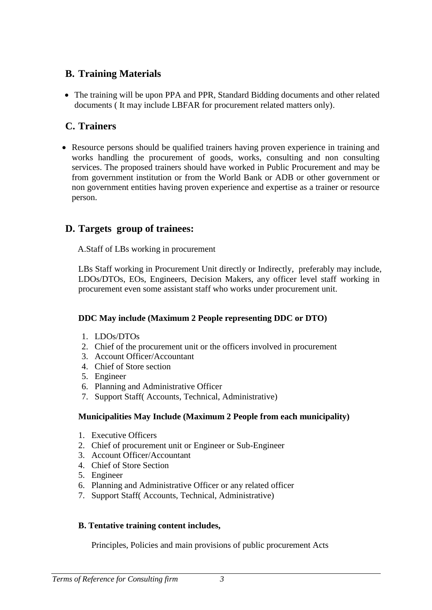# **B. Training Materials**

 The training will be upon PPA and PPR, Standard Bidding documents and other related documents ( It may include LBFAR for procurement related matters only).

# **C. Trainers**

• Resource persons should be qualified trainers having proven experience in training and works handling the procurement of goods, works, consulting and non consulting services. The proposed trainers should have worked in Public Procurement and may be from government institution or from the World Bank or ADB or other government or non government entities having proven experience and expertise as a trainer or resource person.

# **D. Targets group of trainees:**

A.Staff of LBs working in procurement

LBs Staff working in Procurement Unit directly or Indirectly, preferably may include, LDOs/DTOs, EOs, Engineers, Decision Makers, any officer level staff working in procurement even some assistant staff who works under procurement unit.

## **DDC May include (Maximum 2 People representing DDC or DTO)**

- 1. LDOs/DTOs
- 2. Chief of the procurement unit or the officers involved in procurement
- 3. Account Officer/Accountant
- 4. Chief of Store section
- 5. Engineer
- 6. Planning and Administrative Officer
- 7. Support Staff( Accounts, Technical, Administrative)

## **Municipalities May Include (Maximum 2 People from each municipality)**

- 1. Executive Officers
- 2. Chief of procurement unit or Engineer or Sub-Engineer
- 3. Account Officer/Accountant
- 4. Chief of Store Section
- 5. Engineer
- 6. Planning and Administrative Officer or any related officer
- 7. Support Staff( Accounts, Technical, Administrative)

## **B. Tentative training content includes,**

Principles, Policies and main provisions of public procurement Acts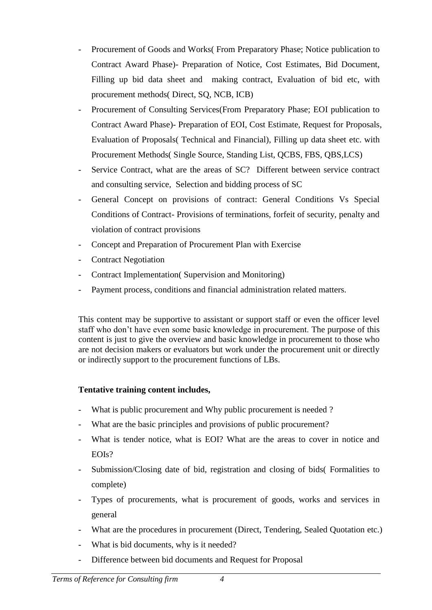- Procurement of Goods and Works( From Preparatory Phase; Notice publication to Contract Award Phase)- Preparation of Notice, Cost Estimates, Bid Document, Filling up bid data sheet and making contract, Evaluation of bid etc, with procurement methods( Direct, SQ, NCB, ICB)
- Procurement of Consulting Services(From Preparatory Phase; EOI publication to Contract Award Phase)- Preparation of EOI, Cost Estimate, Request for Proposals, Evaluation of Proposals( Technical and Financial), Filling up data sheet etc. with Procurement Methods( Single Source, Standing List, QCBS, FBS, QBS,LCS)
- Service Contract, what are the areas of SC? Different between service contract and consulting service, Selection and bidding process of SC
- General Concept on provisions of contract: General Conditions Vs Special Conditions of Contract- Provisions of terminations, forfeit of security, penalty and violation of contract provisions
- Concept and Preparation of Procurement Plan with Exercise
- **Contract Negotiation**
- Contract Implementation( Supervision and Monitoring)
- Payment process, conditions and financial administration related matters.

This content may be supportive to assistant or support staff or even the officer level staff who don't have even some basic knowledge in procurement. The purpose of this content is just to give the overview and basic knowledge in procurement to those who are not decision makers or evaluators but work under the procurement unit or directly or indirectly support to the procurement functions of LBs.

## **Tentative training content includes,**

- What is public procurement and Why public procurement is needed ?
- What are the basic principles and provisions of public procurement?
- What is tender notice, what is EOI? What are the areas to cover in notice and EOIs?
- Submission/Closing date of bid, registration and closing of bids(Formalities to complete)
- Types of procurements, what is procurement of goods, works and services in general
- What are the procedures in procurement (Direct, Tendering, Sealed Quotation etc.)
- What is bid documents, why is it needed?
- Difference between bid documents and Request for Proposal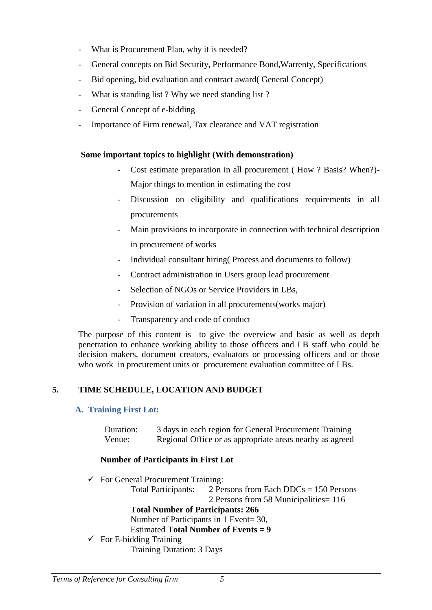- What is Procurement Plan, why it is needed?
- General concepts on Bid Security, Performance Bond,Warrenty, Specifications
- Bid opening, bid evaluation and contract award( General Concept)
- What is standing list ? Why we need standing list ?
- General Concept of e-bidding
- Importance of Firm renewal, Tax clearance and VAT registration

## **Some important topics to highlight (With demonstration)**

- Cost estimate preparation in all procurement (How ? Basis? When?)-Major things to mention in estimating the cost
- Discussion on eligibility and qualifications requirements in all procurements
- Main provisions to incorporate in connection with technical description in procurement of works
- Individual consultant hiring( Process and documents to follow)
- Contract administration in Users group lead procurement
- Selection of NGOs or Service Providers in LBs.
- Provision of variation in all procurements (works major)
- Transparency and code of conduct

The purpose of this content is to give the overview and basic as well as depth penetration to enhance working ability to those officers and LB staff who could be decision makers, document creators, evaluators or processing officers and or those who work in procurement units or procurement evaluation committee of LBs.

# **5. TIME SCHEDULE, LOCATION AND BUDGET**

# **A. Training First Lot:**

| Duration: | 3 days in each region for General Procurement Training   |
|-----------|----------------------------------------------------------|
| Venue:    | Regional Office or as appropriate areas nearby as agreed |

# **Number of Participants in First Lot**

 $\checkmark$  For General Procurement Training:

Total Participants: 2 Persons from Each DDCs = 150 Persons 2 Persons from 58 Municipalities= 116 **Total Number of Participants: 266** Number of Participants in 1 Event= 30, Estimated **Total Number of Events = 9**  $\checkmark$  For E-bidding Training Training Duration: 3 Days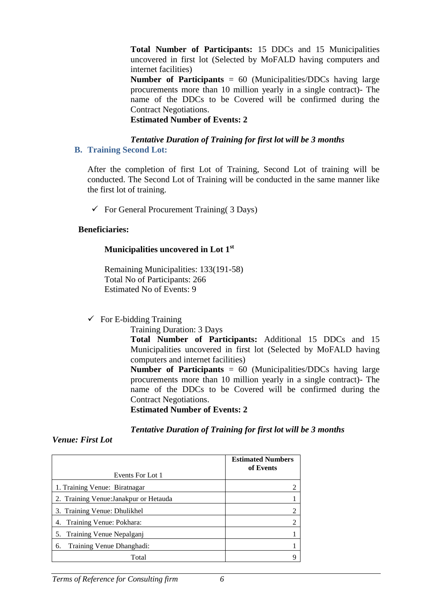**Total Number of Participants:** 15 DDCs and 15 Municipalities uncovered in first lot (Selected by MoFALD having computers and internet facilities)

**Number of Participants** = 60 (Municipalities/DDCs having large procurements more than 10 million yearly in a single contract)- The name of the DDCs to be Covered will be confirmed during the Contract Negotiations.

**Estimated Number of Events: 2**

#### *Tentative Duration of Training for first lot will be 3 months* **B. Training Second Lot:**

After the completion of first Lot of Training, Second Lot of training will be conducted. The Second Lot of Training will be conducted in the same manner like the first lot of training.

 $\checkmark$  For General Procurement Training( 3 Days)

#### **Beneficiaries:**

### **Municipalities uncovered in Lot 1st**

Remaining Municipalities: 133(191-58) Total No of Participants: 266 Estimated No of Events: 9

 $\checkmark$  For E-bidding Training

Training Duration: 3 Days

**Total Number of Participants:** Additional 15 DDCs and 15 Municipalities uncovered in first lot (Selected by MoFALD having computers and internet facilities)

**Number of Participants** = 60 (Municipalities/DDCs having large procurements more than 10 million yearly in a single contract)- The name of the DDCs to be Covered will be confirmed during the Contract Negotiations.

**Estimated Number of Events: 2**

#### *Tentative Duration of Training for first lot will be 3 months*

#### *Venue: First Lot*

| Events For Lot 1                       | <b>Estimated Numbers</b><br>of Events |
|----------------------------------------|---------------------------------------|
| 1. Training Venue: Biratnagar          | $\overline{2}$                        |
| 2. Training Venue: Janakpur or Hetauda |                                       |
| 3. Training Venue: Dhulikhel           | $\overline{c}$                        |
| Training Venue: Pokhara:<br>4.         | $\overline{2}$                        |
| Training Venue Nepalganj<br>5.         |                                       |
| Training Venue Dhanghadi:<br>6.        |                                       |
| Total                                  | Q                                     |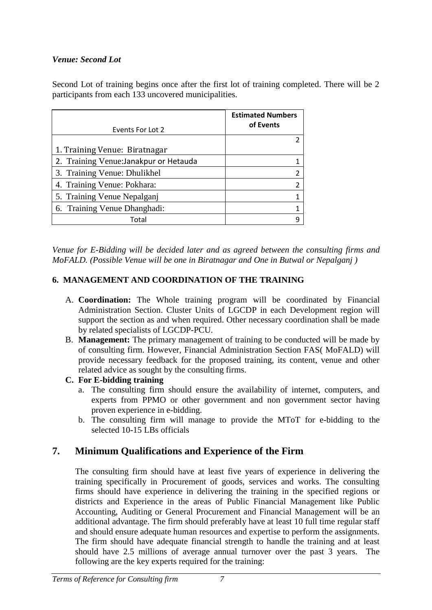## *Venue: Second Lot*

Second Lot of training begins once after the first lot of training completed. There will be 2 participants from each 133 uncovered municipalities.

| Events For Lot 2                       | <b>Estimated Numbers</b><br>of Events |
|----------------------------------------|---------------------------------------|
|                                        |                                       |
| 1. Training Venue: Biratnagar          |                                       |
| 2. Training Venue: Janakpur or Hetauda |                                       |
| 3. Training Venue: Dhulikhel           |                                       |
| 4. Training Venue: Pokhara:            |                                       |
| 5. Training Venue Nepalganj            |                                       |
| 6. Training Venue Dhanghadi:           |                                       |
| Total                                  |                                       |

*Venue for E-Bidding will be decided later and as agreed between the consulting firms and MoFALD. (Possible Venue will be one in Biratnagar and One in Butwal or Nepalganj )*

## **6. MANAGEMENT AND COORDINATION OF THE TRAINING**

- A. **Coordination:** The Whole training program will be coordinated by Financial Administration Section. Cluster Units of LGCDP in each Development region will support the section as and when required. Other necessary coordination shall be made by related specialists of LGCDP-PCU.
- B. **Management:** The primary management of training to be conducted will be made by of consulting firm. However, Financial Administration Section FAS( MoFALD) will provide necessary feedback for the proposed training, its content, venue and other related advice as sought by the consulting firms.

## **C. For E-bidding training**

- a. The consulting firm should ensure the availability of internet, computers, and experts from PPMO or other government and non government sector having proven experience in e-bidding.
- b. The consulting firm will manage to provide the MToT for e-bidding to the selected 10-15 LBs officials

# **7. Minimum Qualifications and Experience of the Firm**

The consulting firm should have at least five years of experience in delivering the training specifically in Procurement of goods, services and works. The consulting firms should have experience in delivering the training in the specified regions or districts and Experience in the areas of Public Financial Management like Public Accounting, Auditing or General Procurement and Financial Management will be an additional advantage. The firm should preferably have at least 10 full time regular staff and should ensure adequate human resources and expertise to perform the assignments. The firm should have adequate financial strength to handle the training and at least should have 2.5 millions of average annual turnover over the past 3 years. The following are the key experts required for the training: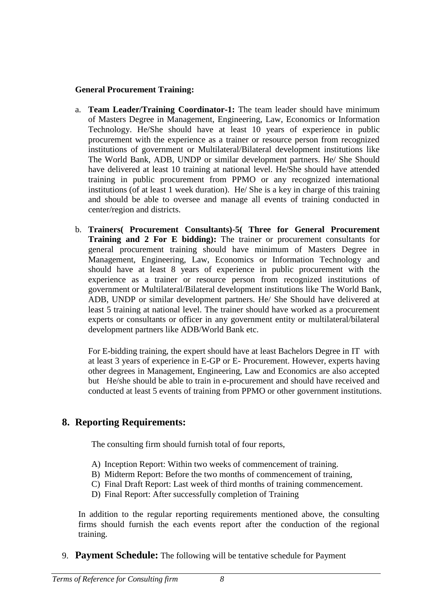## **General Procurement Training:**

- a. **Team Leader/Training Coordinator-1:** The team leader should have minimum of Masters Degree in Management, Engineering, Law, Economics or Information Technology. He/She should have at least 10 years of experience in public procurement with the experience as a trainer or resource person from recognized institutions of government or Multilateral/Bilateral development institutions like The World Bank, ADB, UNDP or similar development partners. He/ She Should have delivered at least 10 training at national level. He/She should have attended training in public procurement from PPMO or any recognized international institutions (of at least 1 week duration). He/ She is a key in charge of this training and should be able to oversee and manage all events of training conducted in center/region and districts.
- b. **Trainers( Procurement Consultants)-5( Three for General Procurement Training and 2 For E bidding):** The trainer or procurement consultants for general procurement training should have minimum of Masters Degree in Management, Engineering, Law, Economics or Information Technology and should have at least 8 years of experience in public procurement with the experience as a trainer or resource person from recognized institutions of government or Multilateral/Bilateral development institutions like The World Bank, ADB, UNDP or similar development partners. He/ She Should have delivered at least 5 training at national level. The trainer should have worked as a procurement experts or consultants or officer in any government entity or multilateral/bilateral development partners like ADB/World Bank etc.

For E-bidding training, the expert should have at least Bachelors Degree in IT with at least 3 years of experience in E-GP or E- Procurement. However, experts having other degrees in Management, Engineering, Law and Economics are also accepted but He/she should be able to train in e-procurement and should have received and conducted at least 5 events of training from PPMO or other government institutions.

# **8. Reporting Requirements:**

The consulting firm should furnish total of four reports,

- A) Inception Report: Within two weeks of commencement of training.
- B) Midterm Report: Before the two months of commencement of training,
- C) Final Draft Report: Last week of third months of training commencement.
- D) Final Report: After successfully completion of Training

In addition to the regular reporting requirements mentioned above, the consulting firms should furnish the each events report after the conduction of the regional training.

9. **Payment Schedule:** The following will be tentative schedule for Payment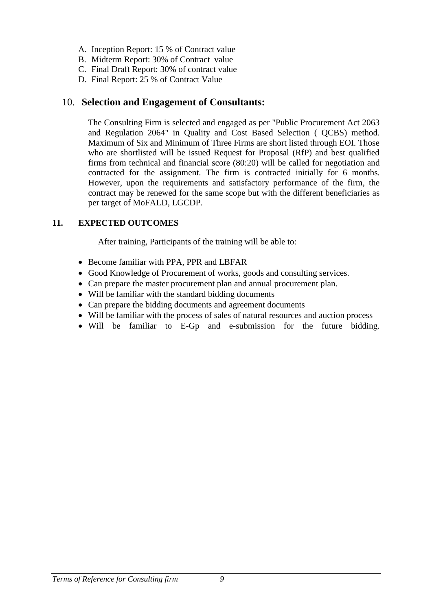- A. Inception Report: 15 % of Contract value
- B. Midterm Report: 30% of Contract value
- C. Final Draft Report: 30% of contract value
- D. Final Report: 25 % of Contract Value

## 10. **Selection and Engagement of Consultants:**

The Consulting Firm is selected and engaged as per "Public Procurement Act 2063 and Regulation 2064" in Quality and Cost Based Selection ( QCBS) method. Maximum of Six and Minimum of Three Firms are short listed through EOI. Those who are shortlisted will be issued Request for Proposal (RfP) and best qualified firms from technical and financial score (80:20) will be called for negotiation and contracted for the assignment. The firm is contracted initially for 6 months. However, upon the requirements and satisfactory performance of the firm, the contract may be renewed for the same scope but with the different beneficiaries as per target of MoFALD, LGCDP.

## **11. EXPECTED OUTCOMES**

After training, Participants of the training will be able to:

- Become familiar with PPA, PPR and LBFAR
- Good Knowledge of Procurement of works, goods and consulting services.
- Can prepare the master procurement plan and annual procurement plan.
- Will be familiar with the standard bidding documents
- Can prepare the bidding documents and agreement documents
- Will be familiar with the process of sales of natural resources and auction process
- Will be familiar to E-Gp and e-submission for the future bidding.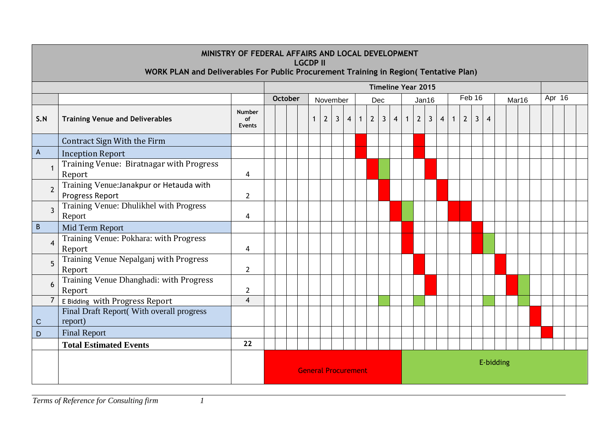|                | MINISTRY OF FEDERAL AFFAIRS AND LOCAL DEVELOPMENT<br><b>LGCDP II</b><br>WORK PLAN and Deliverables For Public Procurement Training in Region(Tentative Plan) |                               |                                                                  |  |              |                |              |                |                |            |              |                |                |                |              |                         |              |             |              |   |  |  |  |  |
|----------------|--------------------------------------------------------------------------------------------------------------------------------------------------------------|-------------------------------|------------------------------------------------------------------|--|--------------|----------------|--------------|----------------|----------------|------------|--------------|----------------|----------------|----------------|--------------|-------------------------|--------------|-------------|--------------|---|--|--|--|--|
|                | <b>Timeline Year 2015</b>                                                                                                                                    |                               |                                                                  |  |              |                |              |                |                |            |              |                |                |                |              |                         |              |             |              |   |  |  |  |  |
|                |                                                                                                                                                              |                               | Feb 16<br>Apr 16<br>October<br>November<br>Dec<br>Jan16<br>Mar16 |  |              |                |              |                |                |            |              |                |                |                |              |                         |              |             |              |   |  |  |  |  |
| S.N            | <b>Training Venue and Deliverables</b>                                                                                                                       | <b>Number</b><br>of<br>Events |                                                                  |  | $\mathbf{1}$ | $\overline{2}$ | $\mathbf{3}$ | $\overline{4}$ | 1 <sup>1</sup> | $\sqrt{2}$ | $\mathbf{3}$ | $\overline{4}$ | $\overline{1}$ | $\overline{2}$ | $\mathbf{3}$ | $\overline{\mathbf{4}}$ | $\mathbf{1}$ | $2^{\circ}$ | $\mathbf{3}$ | 4 |  |  |  |  |
|                | Contract Sign With the Firm                                                                                                                                  |                               |                                                                  |  |              |                |              |                |                |            |              |                |                |                |              |                         |              |             |              |   |  |  |  |  |
| A              | <b>Inception Report</b>                                                                                                                                      |                               |                                                                  |  |              |                |              |                |                |            |              |                |                |                |              |                         |              |             |              |   |  |  |  |  |
| -1             | Training Venue: Biratnagar with Progress<br>Report                                                                                                           | 4                             |                                                                  |  |              |                |              |                |                |            |              |                |                |                |              |                         |              |             |              |   |  |  |  |  |
| $\overline{2}$ | Training Venue: Janakpur or Hetauda with<br>Progress Report                                                                                                  | $\overline{2}$                |                                                                  |  |              |                |              |                |                |            |              |                |                |                |              |                         |              |             |              |   |  |  |  |  |
| $\overline{3}$ | Training Venue: Dhulikhel with Progress<br>Report                                                                                                            | 4                             |                                                                  |  |              |                |              |                |                |            |              |                |                |                |              |                         |              |             |              |   |  |  |  |  |
| B              | Mid Term Report                                                                                                                                              |                               |                                                                  |  |              |                |              |                |                |            |              |                |                |                |              |                         |              |             |              |   |  |  |  |  |
| $\overline{4}$ | Training Venue: Pokhara: with Progress<br>Report                                                                                                             | 4                             |                                                                  |  |              |                |              |                |                |            |              |                |                |                |              |                         |              |             |              |   |  |  |  |  |
| 5              | Training Venue Nepalganj with Progress<br>Report                                                                                                             | $\overline{2}$                |                                                                  |  |              |                |              |                |                |            |              |                |                |                |              |                         |              |             |              |   |  |  |  |  |
| 6              | Training Venue Dhanghadi: with Progress<br>Report                                                                                                            | $\overline{2}$                |                                                                  |  |              |                |              |                |                |            |              |                |                |                |              |                         |              |             |              |   |  |  |  |  |
| $\overline{7}$ | E Bidding with Progress Report                                                                                                                               | $\overline{4}$                |                                                                  |  |              |                |              |                |                |            |              |                |                |                |              |                         |              |             |              |   |  |  |  |  |
| C              | Final Draft Report(With overall progress<br>report)                                                                                                          |                               |                                                                  |  |              |                |              |                |                |            |              |                |                |                |              |                         |              |             |              |   |  |  |  |  |
| D              | <b>Final Report</b>                                                                                                                                          |                               |                                                                  |  |              |                |              |                |                |            |              |                |                |                |              |                         |              |             |              |   |  |  |  |  |
|                | <b>Total Estimated Events</b>                                                                                                                                | 22                            |                                                                  |  |              |                |              |                |                |            |              |                |                |                |              |                         |              |             |              |   |  |  |  |  |
|                |                                                                                                                                                              |                               | E-bidding<br><b>General Procurement</b>                          |  |              |                |              |                |                |            |              |                |                |                |              |                         |              |             |              |   |  |  |  |  |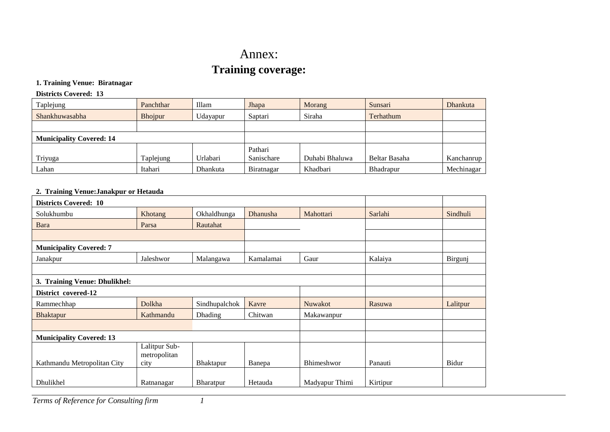# Annex: **Training coverage:**

#### **1. Training Venue: Biratnagar**

#### **Districts Covered: 13**

| Taplejung                       | Panchthar | Illam    | Jhapa<br>Morang |                | Sunsari          | <b>Dhankuta</b> |
|---------------------------------|-----------|----------|-----------------|----------------|------------------|-----------------|
| Shankhuwasabha                  | Bhojpur   | Udayapur | Saptari         | Siraha         | Terhathum        |                 |
|                                 |           |          |                 |                |                  |                 |
| <b>Municipality Covered: 14</b> |           |          |                 |                |                  |                 |
|                                 |           |          | Pathari         |                |                  |                 |
| Triyuga                         | Taplejung | Urlabari | Sanischare      | Duhabi Bhaluwa | Beltar Basaha    | Kanchanrup      |
| Lahan                           | Itahari   | Dhankuta | Biratnagar      | Khadbari       | <b>Bhadrapur</b> | Mechinagar      |

#### **2. Training Venue:Janakpur or Hetauda**

| <b>Districts Covered: 10</b>    |                               |                |           |                   |          |          |
|---------------------------------|-------------------------------|----------------|-----------|-------------------|----------|----------|
| Solukhumbu                      | Khotang                       | Okhaldhunga    | Dhanusha  | Mahottari         | Sarlahi  | Sindhuli |
| Bara                            | Parsa                         | Rautahat       |           |                   |          |          |
|                                 |                               |                |           |                   |          |          |
| <b>Municipality Covered: 7</b>  |                               |                |           |                   |          |          |
| Janakpur                        | Jaleshwor                     | Malangawa      | Kamalamai | Gaur              | Kalaiya  | Birgunj  |
|                                 |                               |                |           |                   |          |          |
| 3. Training Venue: Dhulikhel:   |                               |                |           |                   |          |          |
| District covered-12             |                               |                |           |                   |          |          |
| Rammechhap                      | Dolkha                        | Sindhupalchok  | Kavre     | <b>Nuwakot</b>    | Rasuwa   | Lalitpur |
| <b>Bhaktapur</b>                | Kathmandu                     | <b>Dhading</b> | Chitwan   | Makawanpur        |          |          |
|                                 |                               |                |           |                   |          |          |
| <b>Municipality Covered: 13</b> |                               |                |           |                   |          |          |
|                                 | Lalitpur Sub-<br>metropolitan |                |           |                   |          |          |
| Kathmandu Metropolitan City     | city                          | Bhaktapur      | Banepa    | <b>Bhimeshwor</b> | Panauti  | Bidur    |
| Dhulikhel                       | Ratnanagar                    | Bharatpur      | Hetauda   | Madyapur Thimi    | Kirtipur |          |

*Terms of Reference for Consulting firm 1*